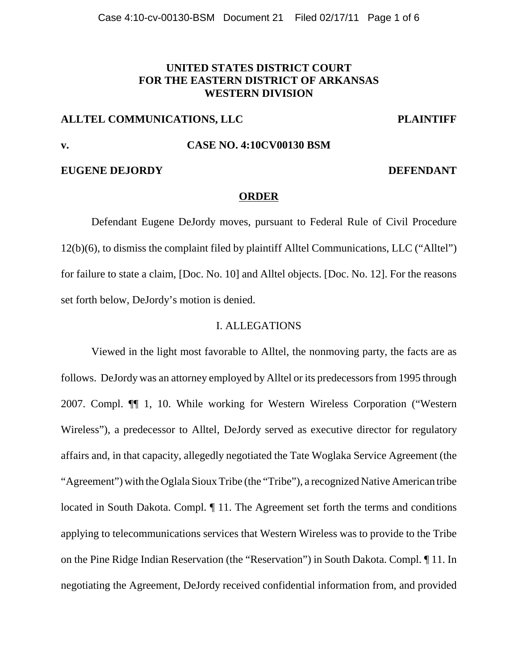# **UNITED STATES DISTRICT COURT FOR THE EASTERN DISTRICT OF ARKANSAS WESTERN DIVISION**

## **ALLTEL COMMUNICATIONS, LLC PLAINTIFF**

# **v. CASE NO. 4:10CV00130 BSM**

## **EUGENE DEJORDY DEFENDANT**

## **ORDER**

Defendant Eugene DeJordy moves, pursuant to Federal Rule of Civil Procedure 12(b)(6), to dismiss the complaint filed by plaintiff Alltel Communications, LLC ("Alltel") for failure to state a claim, [Doc. No. 10] and Alltel objects. [Doc. No. 12]. For the reasons set forth below, DeJordy's motion is denied.

## I. ALLEGATIONS

Viewed in the light most favorable to Alltel, the nonmoving party, the facts are as follows. DeJordy was an attorney employed by Alltel or its predecessors from 1995 through 2007. Compl. ¶¶ 1, 10. While working for Western Wireless Corporation ("Western Wireless"), a predecessor to Alltel, DeJordy served as executive director for regulatory affairs and, in that capacity, allegedly negotiated the Tate Woglaka Service Agreement (the "Agreement") with the Oglala Sioux Tribe (the "Tribe"), a recognized Native American tribe located in South Dakota. Compl. ¶ 11. The Agreement set forth the terms and conditions applying to telecommunications services that Western Wireless was to provide to the Tribe on the Pine Ridge Indian Reservation (the "Reservation") in South Dakota. Compl. ¶ 11. In negotiating the Agreement, DeJordy received confidential information from, and provided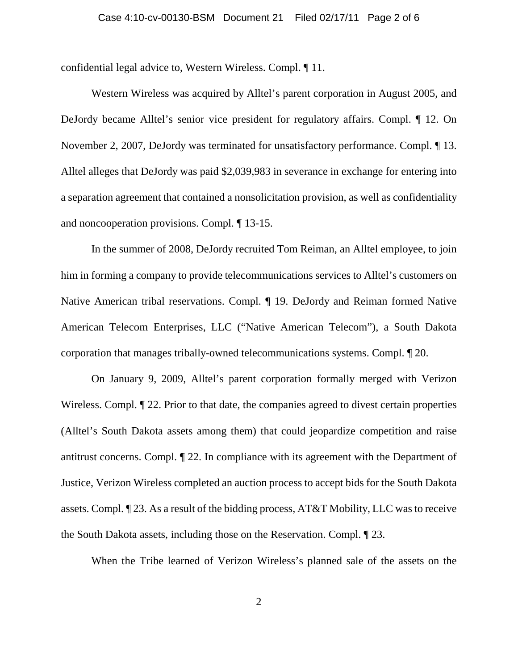confidential legal advice to, Western Wireless. Compl. ¶ 11.

Western Wireless was acquired by Alltel's parent corporation in August 2005, and DeJordy became Alltel's senior vice president for regulatory affairs. Compl. ¶ 12. On November 2, 2007, DeJordy was terminated for unsatisfactory performance. Compl. ¶ 13. Alltel alleges that DeJordy was paid \$2,039,983 in severance in exchange for entering into a separation agreement that contained a nonsolicitation provision, as well as confidentiality and noncooperation provisions. Compl. ¶ 13-15.

In the summer of 2008, DeJordy recruited Tom Reiman, an Alltel employee, to join him in forming a company to provide telecommunications services to Alltel's customers on Native American tribal reservations. Compl. ¶ 19. DeJordy and Reiman formed Native American Telecom Enterprises, LLC ("Native American Telecom"), a South Dakota corporation that manages tribally-owned telecommunications systems. Compl. ¶ 20.

On January 9, 2009, Alltel's parent corporation formally merged with Verizon Wireless. Compl.  $\sqrt{\ }$  22. Prior to that date, the companies agreed to divest certain properties (Alltel's South Dakota assets among them) that could jeopardize competition and raise antitrust concerns. Compl. ¶ 22. In compliance with its agreement with the Department of Justice, Verizon Wireless completed an auction process to accept bids for the South Dakota assets. Compl. ¶ 23. As a result of the bidding process, AT&T Mobility, LLC was to receive the South Dakota assets, including those on the Reservation. Compl. ¶ 23.

When the Tribe learned of Verizon Wireless's planned sale of the assets on the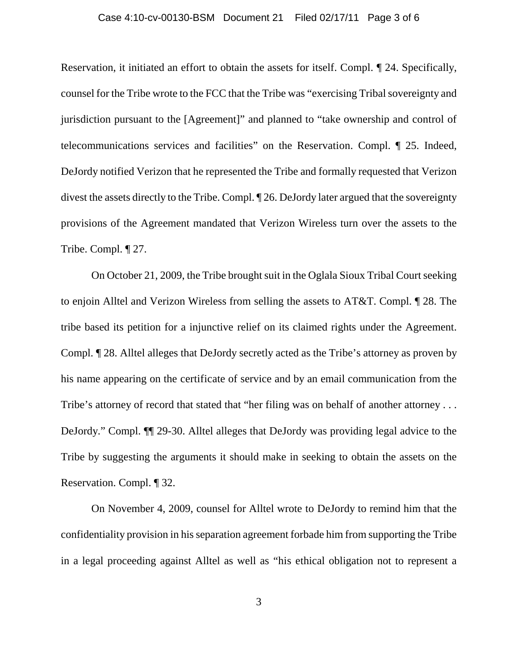### Case 4:10-cv-00130-BSM Document 21 Filed 02/17/11 Page 3 of 6

Reservation, it initiated an effort to obtain the assets for itself. Compl. ¶ 24. Specifically, counsel for the Tribe wrote to the FCC that the Tribe was "exercising Tribal sovereignty and jurisdiction pursuant to the [Agreement]" and planned to "take ownership and control of telecommunications services and facilities" on the Reservation. Compl. ¶ 25. Indeed, DeJordy notified Verizon that he represented the Tribe and formally requested that Verizon divest the assets directly to the Tribe. Compl. ¶ 26. DeJordy later argued that the sovereignty provisions of the Agreement mandated that Verizon Wireless turn over the assets to the Tribe. Compl. ¶ 27.

On October 21, 2009, the Tribe brought suit in the Oglala Sioux Tribal Court seeking to enjoin Alltel and Verizon Wireless from selling the assets to AT&T. Compl. ¶ 28. The tribe based its petition for a injunctive relief on its claimed rights under the Agreement. Compl. ¶ 28. Alltel alleges that DeJordy secretly acted as the Tribe's attorney as proven by his name appearing on the certificate of service and by an email communication from the Tribe's attorney of record that stated that "her filing was on behalf of another attorney ... DeJordy." Compl. ¶¶ 29-30. Alltel alleges that DeJordy was providing legal advice to the Tribe by suggesting the arguments it should make in seeking to obtain the assets on the Reservation. Compl. ¶ 32.

On November 4, 2009, counsel for Alltel wrote to DeJordy to remind him that the confidentiality provision in his separation agreement forbade him from supporting the Tribe in a legal proceeding against Alltel as well as "his ethical obligation not to represent a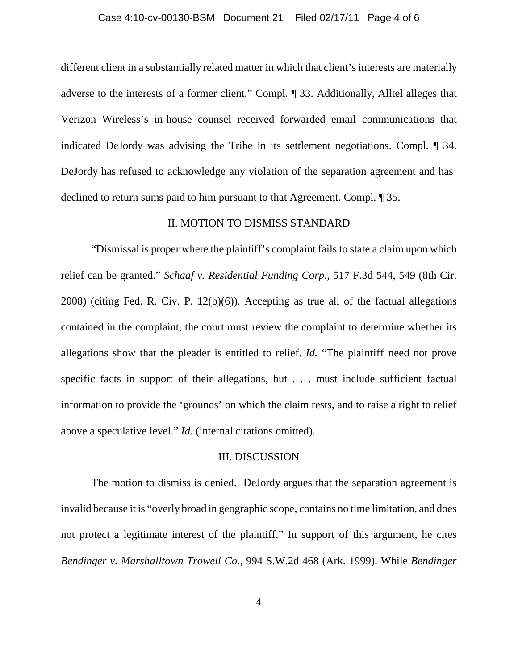### Case 4:10-cv-00130-BSM Document 21 Filed 02/17/11 Page 4 of 6

different client in a substantially related matter in which that client's interests are materially adverse to the interests of a former client." Compl. ¶ 33. Additionally, Alltel alleges that Verizon Wireless's in-house counsel received forwarded email communications that indicated DeJordy was advising the Tribe in its settlement negotiations. Compl. ¶ 34. DeJordy has refused to acknowledge any violation of the separation agreement and has declined to return sums paid to him pursuant to that Agreement. Compl. ¶ 35.

## II. MOTION TO DISMISS STANDARD

"Dismissal is proper where the plaintiff's complaint fails to state a claim upon which relief can be granted." *Schaaf v. Residential Funding Corp*., 517 F.3d 544, 549 (8th Cir. 2008) (citing Fed. R. Civ. P. 12(b)(6)). Accepting as true all of the factual allegations contained in the complaint, the court must review the complaint to determine whether its allegations show that the pleader is entitled to relief. *Id.* "The plaintiff need not prove specific facts in support of their allegations, but . . . must include sufficient factual information to provide the 'grounds' on which the claim rests, and to raise a right to relief above a speculative level." *Id.* (internal citations omitted).

## III. DISCUSSION

The motion to dismiss is denied. DeJordy argues that the separation agreement is invalid because it is "overly broad in geographic scope, contains no time limitation, and does not protect a legitimate interest of the plaintiff." In support of this argument, he cites *Bendinger v. Marshalltown Trowell Co.*, 994 S.W.2d 468 (Ark. 1999). While *Bendinger*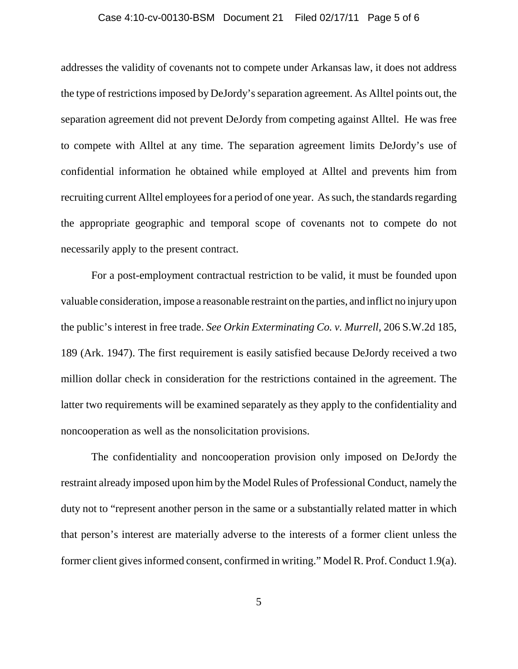### Case 4:10-cv-00130-BSM Document 21 Filed 02/17/11 Page 5 of 6

addresses the validity of covenants not to compete under Arkansas law, it does not address the type of restrictions imposed by DeJordy's separation agreement. As Alltel points out, the separation agreement did not prevent DeJordy from competing against Alltel. He was free to compete with Alltel at any time. The separation agreement limits DeJordy's use of confidential information he obtained while employed at Alltel and prevents him from recruiting current Alltel employees for a period of one year. As such, the standards regarding the appropriate geographic and temporal scope of covenants not to compete do not necessarily apply to the present contract.

For a post-employment contractual restriction to be valid, it must be founded upon valuable consideration, impose a reasonable restraint on the parties, and inflict no injury upon the public's interest in free trade. *See Orkin Exterminating Co. v. Murrell*, 206 S.W.2d 185, 189 (Ark. 1947). The first requirement is easily satisfied because DeJordy received a two million dollar check in consideration for the restrictions contained in the agreement. The latter two requirements will be examined separately as they apply to the confidentiality and noncooperation as well as the nonsolicitation provisions.

The confidentiality and noncooperation provision only imposed on DeJordy the restraint already imposed upon him by the Model Rules of Professional Conduct, namely the duty not to "represent another person in the same or a substantially related matter in which that person's interest are materially adverse to the interests of a former client unless the former client gives informed consent, confirmed in writing." Model R. Prof. Conduct 1.9(a).